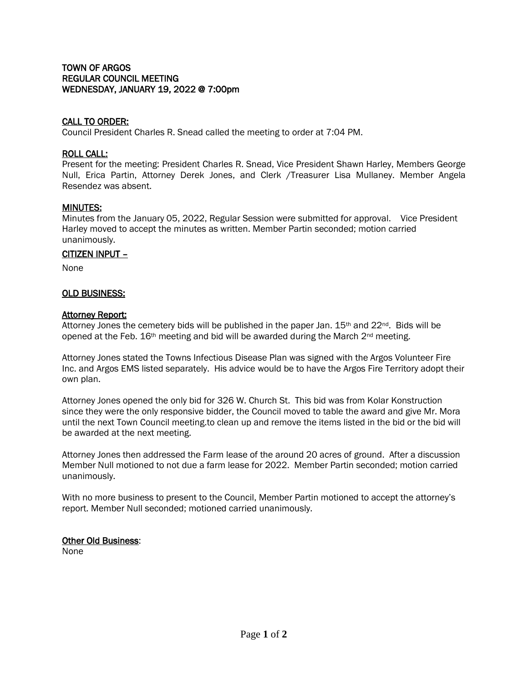# TOWN OF ARGOS REGULAR COUNCIL MEETING WEDNESDAY, JANUARY 19, 2022 @ 7:00pm

# CALL TO ORDER:

Council President Charles R. Snead called the meeting to order at 7:04 PM.

#### ROLL CALL:

Present for the meeting: President Charles R. Snead, Vice President Shawn Harley, Members George Null, Erica Partin, Attorney Derek Jones, and Clerk /Treasurer Lisa Mullaney. Member Angela Resendez was absent.

# MINUTES:

Minutes from the January 05, 2022, Regular Session were submitted for approval. Vice President Harley moved to accept the minutes as written. Member Partin seconded; motion carried unanimously.

#### CITIZEN INPUT –

None

# OLD BUSINESS:

#### Attorney Report:

Attorney Jones the cemetery bids will be published in the paper Jan.  $15<sup>th</sup>$  and  $22<sup>nd</sup>$ . Bids will be opened at the Feb. 16<sup>th</sup> meeting and bid will be awarded during the March 2<sup>nd</sup> meeting.

Attorney Jones stated the Towns Infectious Disease Plan was signed with the Argos Volunteer Fire Inc. and Argos EMS listed separately. His advice would be to have the Argos Fire Territory adopt their own plan.

Attorney Jones opened the only bid for 326 W. Church St. This bid was from Kolar Konstruction since they were the only responsive bidder, the Council moved to table the award and give Mr. Mora until the next Town Council meeting.to clean up and remove the items listed in the bid or the bid will be awarded at the next meeting.

Attorney Jones then addressed the Farm lease of the around 20 acres of ground. After a discussion Member Null motioned to not due a farm lease for 2022. Member Partin seconded; motion carried unanimously.

With no more business to present to the Council, Member Partin motioned to accept the attorney's report. Member Null seconded; motioned carried unanimously.

#### **Other Old Business:** None